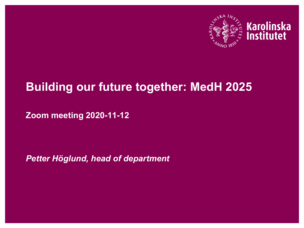

# Karolinska<br>Institutet

#### **Building our future together: MedH 2025**

**Zoom meeting 2020-11-12**

*Petter Höglund, head of department*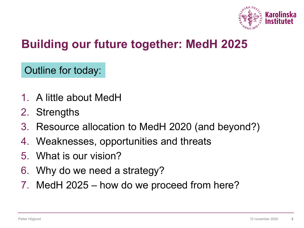

### **Building our future together: MedH 2025**

Outline for today:

- 1. A little about MedH
- 2. Strengths
- 3. Resource allocation to MedH 2020 (and beyond?)
- 4. Weaknesses, opportunities and threats
- 5. What is our vision?
- 6. Why do we need a strategy?
- 7. MedH 2025 how do we proceed from here?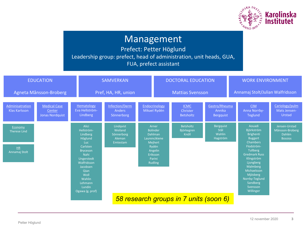

#### Management

Prefect: Petter Höglund Leadership group: prefect, head of administration, unit heads, GUA, FUA, prefect assistant

|                                  | <b>EDUCATION</b>                                        |                                                                                                                                                                                                             | <b>SAMVERKAN</b>                                         |                                                                        |                               | <b>DOCTORAL EDUCATION</b>            |                                             |                                  | <b>WORK ENVIRONMENT</b>                                                                    |                                                              |  |
|----------------------------------|---------------------------------------------------------|-------------------------------------------------------------------------------------------------------------------------------------------------------------------------------------------------------------|----------------------------------------------------------|------------------------------------------------------------------------|-------------------------------|--------------------------------------|---------------------------------------------|----------------------------------|--------------------------------------------------------------------------------------------|--------------------------------------------------------------|--|
| Agneta Månsson-Broberg           |                                                         |                                                                                                                                                                                                             | Pref, HA, HR, union                                      |                                                                        | <b>Mattias Svensson</b>       |                                      |                                             | Annamaj Stolt/Julian Walfridsson |                                                                                            |                                                              |  |
| Adminisatration<br>Klas Karlsson | <b>Medical Case</b><br>Center<br><b>Jonas Nordquist</b> | Hematology<br>Eva Hellström-<br>Lindberg                                                                                                                                                                    | Infection/Derm<br><b>Anders</b><br>Sönnerborg            |                                                                        | Endocrinology<br>Mikael Rydén | <b>ICMC</b><br>Christer<br>Betsholtz | Gastro/Rheuma<br>Annika<br><b>Bergquist</b> |                                  | <b>CIM</b><br>Anna Norrby-<br><b>Teglund</b>                                               | Cariology/pulm<br>Mats Jensen-<br><b>Urstad</b>              |  |
| Economy<br><b>Therese Lind</b>   |                                                         | <b>Alici</b><br>Hellström-<br>Lindberg<br>Höglund<br>Luc.<br>Carlsten<br><b>Bryceson</b><br>Nahi<br>Ungerstedt<br>Walfridsson<br>Jacobsen<br>Qian<br>Woll<br>Wahlin<br>Lehmann<br>Lundin<br>Ogawa (g. prof) | Lindqvist<br>Weiland<br>Sönnerborg<br>Aleman<br>Emtestam | Arner<br><b>Bolinder</b><br><b>Dahlman</b><br>Laurencikiene<br>Mejhert |                               | Betsholtz<br>Björkegren<br>Knöll     | Bergquist<br>Stål<br>Wahlin<br>Hagström     |                                  | Aouadi<br>Björkström<br><b>Brighenti</b><br><b>Buggert</b><br><b>Chambers</b>              | Jensen-Urstad<br>Månsson-Broberg<br>Dahlén<br><b>Bossios</b> |  |
| <b>HR</b><br>Annamaj Stolt       |                                                         |                                                                                                                                                                                                             |                                                          | Rydén<br>Angelin<br>Eriksson<br>Parini<br><b>Rudling</b>               |                               |                                      |                                             |                                  | Flodström-<br><b>Tullberg</b><br><b>Gredmark Russ</b><br>Klingström<br>Ljungberg           |                                                              |  |
|                                  |                                                         |                                                                                                                                                                                                             |                                                          |                                                                        |                               |                                      |                                             |                                  | Malmberg<br>Michaelsson<br>Mjösberg<br>Norrby-Teglund<br>Sandberg<br>Svensson<br>Willinger |                                                              |  |
|                                  |                                                         |                                                                                                                                                                                                             | 58 research groups in 7 units (soon 6)                   |                                                                        |                               |                                      |                                             |                                  |                                                                                            |                                                              |  |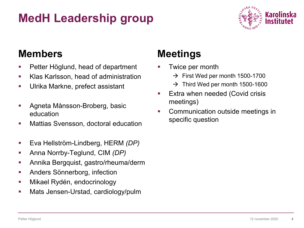## **MedH Leadership group**



#### **Members**

- **Petter Höglund, head of department**
- Klas Karlsson, head of administration
- **Ulrika Markne, prefect assistant**
- Agneta Månsson-Broberg, basic education
- **Mattias Svensson, doctoral education**
- Eva Hellström-Lindberg, HERM *(DP)*
- Anna Norrby-Teglund, CIM *(DP)*
- **Annika Bergquist, gastro/rheuma/derm**
- **Anders Sönnerborg, infection**
- **Mikael Rydén, endocrinology**
- **Mats Jensen-Urstad, cardiology/pulm**

#### **Meetings**

- Twice per month
	- $\rightarrow$  First Wed per month 1500-1700
	- $\rightarrow$  Third Wed per month 1500-1600
- Extra when needed (Covid crisis meetings)
- **Communication outside meetings in** specific question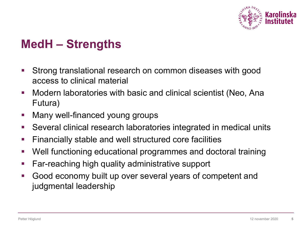

### **MedH – Strengths**

- Strong translational research on common diseases with good access to clinical material
- **Nodern laboratories with basic and clinical scientist (Neo, Ana** Futura)
- **Nany well-financed young groups**
- Several clinical research laboratories integrated in medical units
- **Financially stable and well structured core facilities**
- Well functioning educational programmes and doctoral training
- **Far-reaching high quality administrative support**
- Good economy built up over several years of competent and judgmental leadership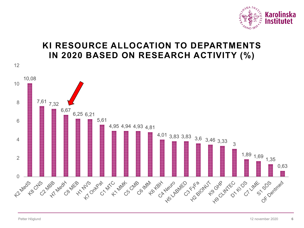

#### **KI RESOURCE ALLOCATION TO DEPARTMENTS IN 2020 BASED ON RESEARCH ACTIVITY (%)**

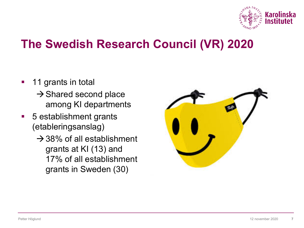

### **The Swedish Research Council (VR) 2020**

- **11 grants in total** 
	- $\rightarrow$  Shared second place among KI departments
- 5 establishment grants (etableringsanslag)
	- $\rightarrow$  38% of all establishment grants at KI (13) and 17% of all establishment grants in Sweden (30)

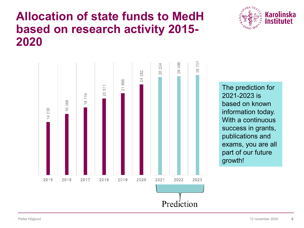#### **Allocation of state funds to MedH based on research activity 2015- 2020**





The prediction for 2021-2023 is based on known information today. With a continuous success in grants, publications and exams, you are all part of our future growth!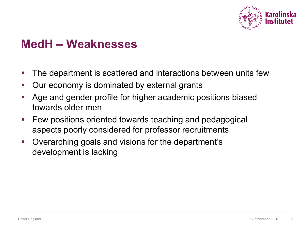

### **MedH – Weaknesses**

- **The department is scattered and interactions between units few**
- **Dureconomy is dominated by external grants**
- Age and gender profile for higher academic positions biased towards older men
- **Few positions oriented towards teaching and pedagogical** aspects poorly considered for professor recruitments
- Overarching goals and visions for the department's development is lacking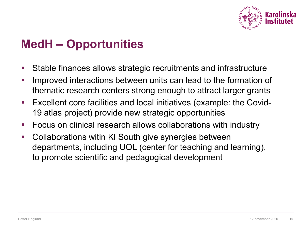

### **MedH – Opportunities**

- Stable finances allows strategic recruitments and infrastructure
- **IMPROVED INTERACTE IN EXAMPLE 10 INCREAT IN THE INTERCT IN THE INTERCT IN INCREDUCT** Interaction of thematic research centers strong enough to attract larger grants
- Excellent core facilities and local initiatives (example: the Covid-19 atlas project) provide new strategic opportunities
- **FICUM** Focus on clinical research allows collaborations with industry
- **-** Collaborations witin KI South give synergies between departments, including UOL (center for teaching and learning), to promote scientific and pedagogical development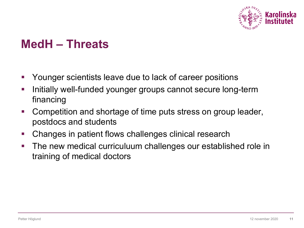

### **MedH – Threats**

- **Theorgourger scientists leave due to lack of career positions**
- **Initially well-funded younger groups cannot secure long-term** financing
- Competition and shortage of time puts stress on group leader, postdocs and students
- **Changes in patient flows challenges clinical research**
- **The new medical curriculuum challenges our established role in** training of medical doctors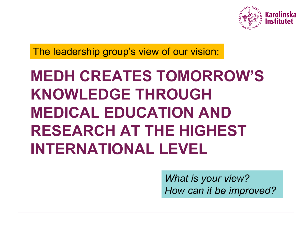

The leadership group's view of our vision:

## **MEDH CREATES TOMORROW'S KNOWLEDGE THROUGH MEDICAL EDUCATION AND RESEARCH AT THE HIGHEST INTERNATIONAL LEVEL**

*What is your view? How can it be improved?*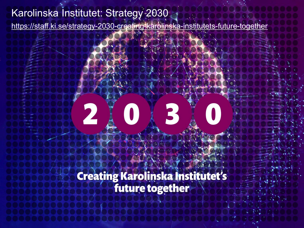#### Karolinska Institutet: Strategy 2030

<https://staff.ki.se/strategy-2030-creating-karolinska-institutets-future-together>

## $\mathsf{E}$ 2

**Creating Karolinska Institutet's**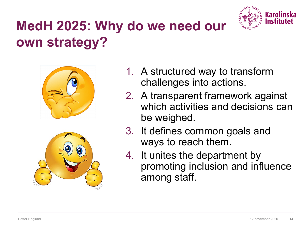

## **MedH 2025: Why do we need our own strategy?**





- 1. A structured way to transform challenges into actions.
- 2. A transparent framework against which activities and decisions can be weighed.
- 3. It defines common goals and ways to reach them.
- 4. It unites the department by promoting inclusion and influence among staff.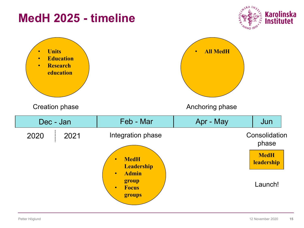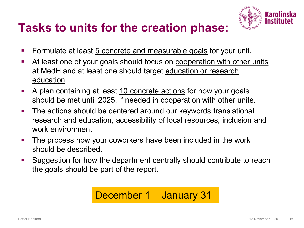#### **Tasks to units for the creation phase:**



- Formulate at least 5 concrete and measurable goals for your unit.
- At least one of your goals should focus on cooperation with other units at MedH and at least one should target education or research education.
- A plan containing at least 10 concrete actions for how your goals should be met until 2025, if needed in cooperation with other units.
- **The actions should be centered around our keywords translational** research and education, accessibility of local resources, inclusion and work environment
- **The process how your coworkers have been included in the work** should be described.
- Suggestion for how the department centrally should contribute to reach the goals should be part of the report.

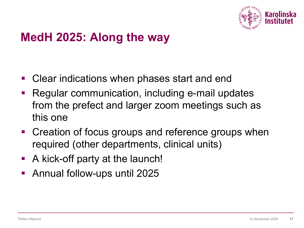

### **MedH 2025: Along the way**

- **Clear indications when phases start and end**
- Regular communication, including e-mail updates from the prefect and larger zoom meetings such as this one
- Creation of focus groups and reference groups when required (other departments, clinical units)
- A kick-off party at the launch!
- Annual follow-ups until 2025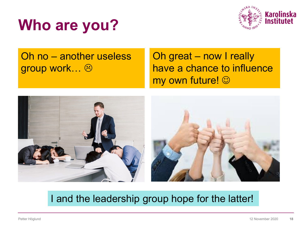



Oh no – another useless group work...  $\odot$ 

Oh great – now I really have a chance to influence my own future!  $\odot$ 



#### I and the leadership group hope for the latter!